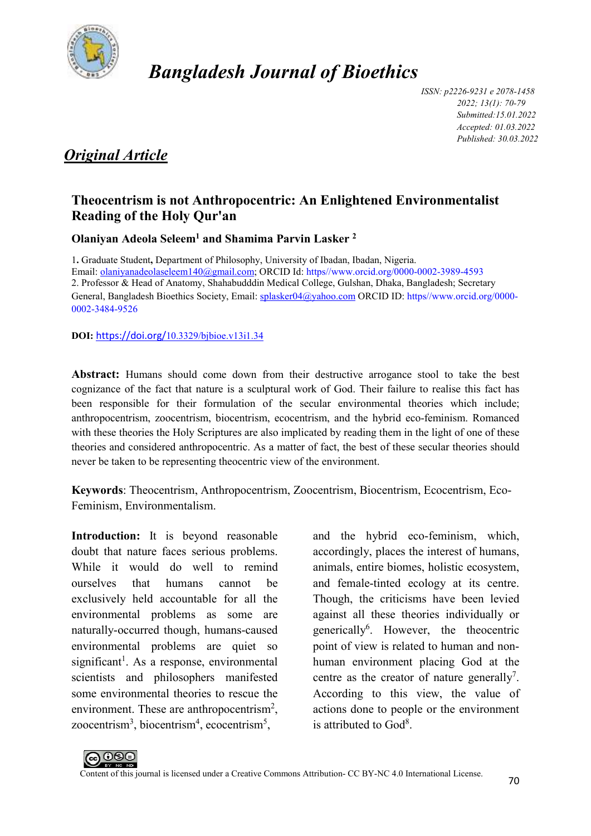

## *Bangladesh Journal of Bioethics*

*ISSN: p2226-9231 e 2078-1458 2022; 13(1): 70-79 Submitted:15.01.2022 Accepted: 01.03.2022 Published: 30.03.2022* 

## *Original Article*

## **Theocentrism is not Anthropocentric: An Enlightened Environmentalist Reading of the Holy Qur'an**

**Olaniyan Adeola Seleem<sup>1</sup> and Shamima Parvin Lasker <sup>2</sup>**

1**.** Graduate Student**,** Department of Philosophy, University of Ibadan, Ibadan, Nigeria. Email: olaniyanadeolaseleem140@gmail.com; ORCID Id: https//www.orcid.org/0000-0002-3989-4593 2. Professor & Head of Anatomy, Shahabudddin Medical College, Gulshan, Dhaka, Bangladesh; Secretary General, Bangladesh Bioethics Society, Email: splasker04@yahoo.com ORCID ID: https//www.orcid.org/0000-0002-3484-9526

**DOI:** https://doi.org/10.3329/bjbioe.v13i1.34

**Abstract:** Humans should come down from their destructive arrogance stool to take the best cognizance of the fact that nature is a sculptural work of God. Their failure to realise this fact has been responsible for their formulation of the secular environmental theories which include; anthropocentrism, zoocentrism, biocentrism, ecocentrism, and the hybrid eco-feminism. Romanced with these theories the Holy Scriptures are also implicated by reading them in the light of one of these theories and considered anthropocentric. As a matter of fact, the best of these secular theories should never be taken to be representing theocentric view of the environment.

**Keywords**: Theocentrism, Anthropocentrism, Zoocentrism, Biocentrism, Ecocentrism, Eco-Feminism, Environmentalism.

**Introduction:** It is beyond reasonable doubt that nature faces serious problems. While it would do well to remind ourselves that humans cannot be exclusively held accountable for all the environmental problems as some are naturally-occurred though, humans-caused environmental problems are quiet so significant<sup>1</sup>. As a response, environmental scientists and philosophers manifested some environmental theories to rescue the environment. These are anthropocentrism<sup>2</sup>, zoocentrism<sup>3</sup>, biocentrism<sup>4</sup>, ecocentrism<sup>5</sup>,

and the hybrid eco-feminism, which, accordingly, places the interest of humans, animals, entire biomes, holistic ecosystem, and female-tinted ecology at its centre. Though, the criticisms have been levied against all these theories individually or generically<sup>6</sup>. However, the theocentric point of view is related to human and nonhuman environment placing God at the centre as the creator of nature generally<sup>7</sup>. According to this view, the value of actions done to people or the environment is attributed to  $God<sup>8</sup>$ .

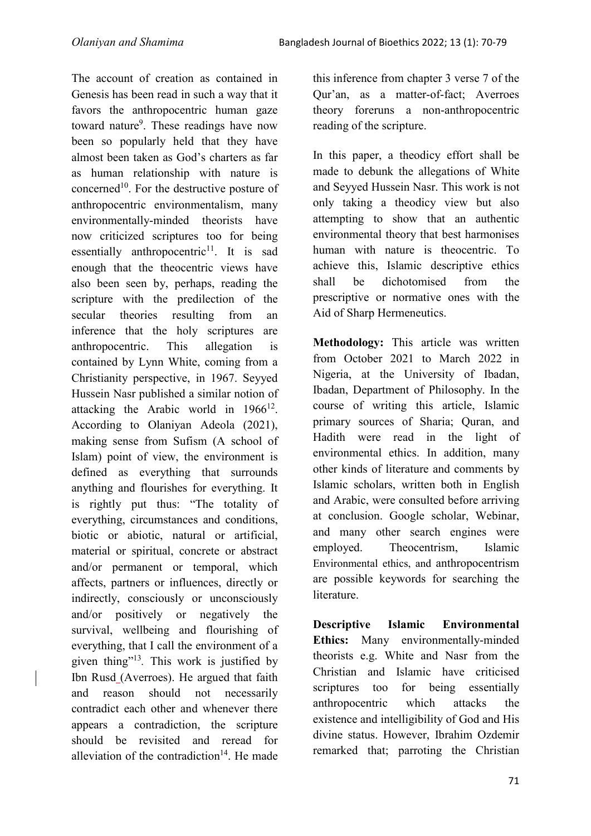The account of creation as contained in Genesis has been read in such a way that it favors the anthropocentric human gaze toward nature<sup>9</sup>. These readings have now been so popularly held that they have almost been taken as God's charters as far as human relationship with nature is concerned<sup>10</sup>. For the destructive posture of anthropocentric environmentalism, many environmentally-minded theorists have now criticized scriptures too for being essentially anthropocentric<sup>11</sup>. It is sad enough that the theocentric views have also been seen by, perhaps, reading the scripture with the predilection of the secular theories resulting from an inference that the holy scriptures are anthropocentric. This allegation is contained by Lynn White, coming from a Christianity perspective, in 1967. Seyyed Hussein Nasr published a similar notion of attacking the Arabic world in  $1966^{12}$ . According to Olaniyan Adeola (2021), making sense from Sufism (A school of Islam) point of view, the environment is defined as everything that surrounds anything and flourishes for everything. It is rightly put thus: "The totality of everything, circumstances and conditions, biotic or abiotic, natural or artificial, material or spiritual, concrete or abstract and/or permanent or temporal, which affects, partners or influences, directly or indirectly, consciously or unconsciously and/or positively or negatively the survival, wellbeing and flourishing of everything, that I call the environment of a given thing"<sup>13</sup> *.* This work is justified by Ibn Rusd (Averroes). He argued that faith and reason should not necessarily contradict each other and whenever there appears a contradiction, the scripture should be revisited and reread for alleviation of the contradiction<sup>14</sup>. He made

this inference from chapter 3 verse 7 of the Qur'an, as a matter-of-fact; Averroes theory foreruns a non-anthropocentric reading of the scripture.

In this paper, a theodicy effort shall be made to debunk the allegations of White and Seyyed Hussein Nasr. This work is not only taking a theodicy view but also attempting to show that an authentic environmental theory that best harmonises human with nature is theocentric. To achieve this, Islamic descriptive ethics shall be dichotomised from the prescriptive or normative ones with the Aid of Sharp Hermeneutics.

**Methodology:** This article was written from October 2021 to March 2022 in Nigeria, at the University of Ibadan, Ibadan, Department of Philosophy. In the course of writing this article, Islamic primary sources of Sharia; Quran, and Hadith were read in the light of environmental ethics. In addition, many other kinds of literature and comments by Islamic scholars, written both in English and Arabic, were consulted before arriving at conclusion. Google scholar, Webinar, and many other search engines were employed. Theocentrism, Islamic Environmental ethics, and anthropocentrism are possible keywords for searching the literature.

**Descriptive Islamic Environmental Ethics:** Many environmentally-minded theorists e.g. White and Nasr from the Christian and Islamic have criticised scriptures too for being essentially anthropocentric which attacks the existence and intelligibility of God and His divine status. However, Ibrahim Ozdemir remarked that; parroting the Christian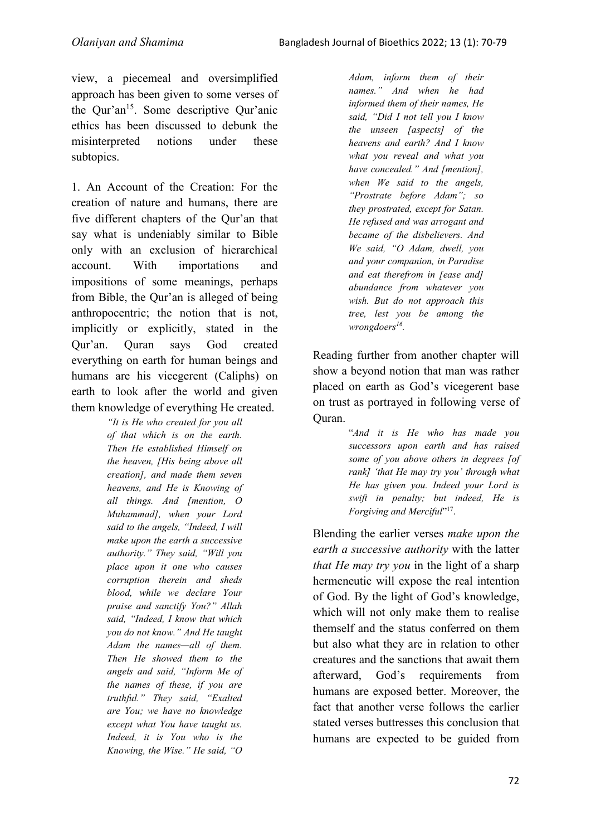view, a piecemeal and oversimplified approach has been given to some verses of the Qur'an<sup>15</sup>. Some descriptive Qur'anic ethics has been discussed to debunk the misinterpreted notions under these subtopics.

1. An Account of the Creation: For the creation of nature and humans, there are five different chapters of the Qur'an that say what is undeniably similar to Bible only with an exclusion of hierarchical account. With importations and impositions of some meanings, perhaps from Bible, the Qur'an is alleged of being anthropocentric; the notion that is not, implicitly or explicitly, stated in the Qur'an. Quran says God created everything on earth for human beings and humans are his vicegerent (Caliphs) on earth to look after the world and given them knowledge of everything He created.

*"It is He who created for you all of that which is on the earth. Then He established Himself on the heaven, [His being above all creation], and made them seven heavens, and He is Knowing of all things. And [mention, O Muhammad], when your Lord said to the angels, "Indeed, I will make upon the earth a successive authority." They said, "Will you place upon it one who causes corruption therein and sheds blood, while we declare Your praise and sanctify You?" Allah said, "Indeed, I know that which you do not know." And He taught Adam the names—all of them. Then He showed them to the angels and said, "Inform Me of the names of these, if you are truthful." They said, "Exalted are You; we have no knowledge except what You have taught us. Indeed, it is You who is the Knowing, the Wise." He said, "O* 

*Adam, inform them of their names." And when he had informed them of their names, He said, "Did I not tell you I know the unseen [aspects] of the heavens and earth? And I know what you reveal and what you have concealed." And [mention], when We said to the angels, "Prostrate before Adam"; so they prostrated, except for Satan. He refused and was arrogant and became of the disbelievers. And We said, "O Adam, dwell, you and your companion, in Paradise and eat therefrom in [ease and] abundance from whatever you wish. But do not approach this tree, lest you be among the wrongdoers<sup>16</sup> .*

Reading further from another chapter will show a beyond notion that man was rather placed on earth as God's vicegerent base on trust as portrayed in following verse of Quran.

> "*And it is He who has made you successors upon earth and has raised some of you above others in degrees [of rank] 'that He may try you' through what He has given you. Indeed your Lord is swift in penalty; but indeed, He is*  Forgiving and Merciful"<sup>17</sup>.

Blending the earlier verses *make upon the earth a successive authority* with the latter *that He may try you* in the light of a sharp hermeneutic will expose the real intention of God. By the light of God's knowledge, which will not only make them to realise themself and the status conferred on them but also what they are in relation to other creatures and the sanctions that await them afterward, God's requirements from humans are exposed better. Moreover, the fact that another verse follows the earlier stated verses buttresses this conclusion that humans are expected to be guided from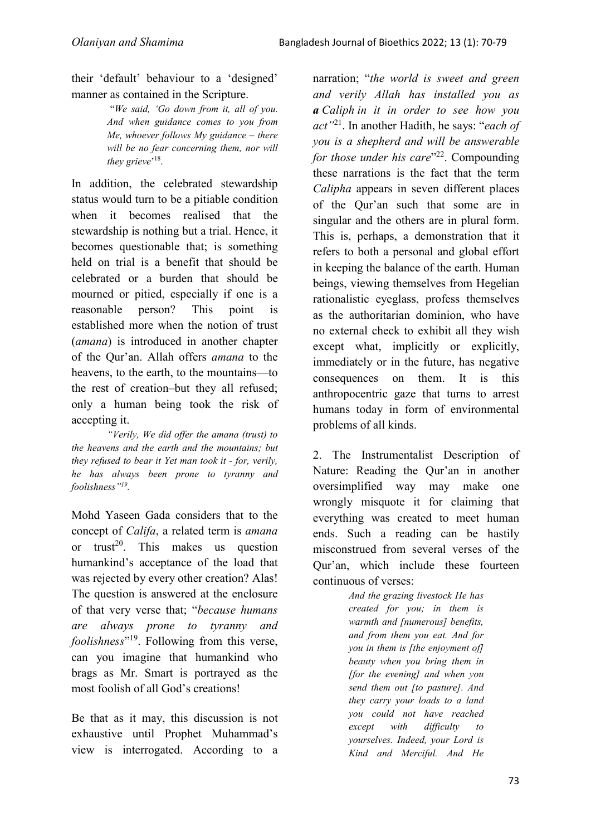their 'default' behaviour to a 'designed' manner as contained in the Scripture.

> "*We said, 'Go down from it, all of you. And when guidance comes to you from Me, whoever follows My guidance – there will be no fear concerning them, nor will*  they grieve<sup>'18</sup>.

In addition, the celebrated stewardship status would turn to be a pitiable condition when it becomes realised that the stewardship is nothing but a trial. Hence, it becomes questionable that; is something held on trial is a benefit that should be celebrated or a burden that should be mourned or pitied, especially if one is a reasonable person? This point is established more when the notion of trust (*amana*) is introduced in another chapter of the Qur'an. Allah offers *amana* to the heavens, to the earth, to the mountains—to the rest of creation–but they all refused; only a human being took the risk of accepting it.

*"Verily, We did offer the amana (trust) to the heavens and the earth and the mountains; but they refused to bear it Yet man took it - for, verily, he has always been prone to tyranny and foolishness"<sup>19</sup> .* 

Mohd Yaseen Gada considers that to the concept of *Califa*, a related term is *amana*  or trust<sup>20</sup>. This makes us question humankind's acceptance of the load that was rejected by every other creation? Alas! The question is answered at the enclosure of that very verse that; "*because humans are always prone to tyranny and foolishness*" <sup>19</sup>. Following from this verse, can you imagine that humankind who brags as Mr. Smart is portrayed as the most foolish of all God's creations!

Be that as it may, this discussion is not exhaustive until Prophet Muhammad's view is interrogated. According to a

narration; "*the world is sweet and green and verily Allah has installed you as a Caliph in it in order to see how you act"*<sup>21</sup>. In another Hadith, he says: "*each of you is a shepherd and will be answerable*  for those under his care<sup>"22</sup>. Compounding these narrations is the fact that the term *Calipha* appears in seven different places of the Qur'an such that some are in singular and the others are in plural form. This is, perhaps, a demonstration that it refers to both a personal and global effort in keeping the balance of the earth. Human beings, viewing themselves from Hegelian rationalistic eyeglass, profess themselves as the authoritarian dominion, who have no external check to exhibit all they wish except what, implicitly or explicitly, immediately or in the future, has negative consequences on them. It is this anthropocentric gaze that turns to arrest humans today in form of environmental problems of all kinds.

2. The Instrumentalist Description of Nature: Reading the Qur'an in another oversimplified way may make one wrongly misquote it for claiming that everything was created to meet human ends. Such a reading can be hastily misconstrued from several verses of the Qur'an, which include these fourteen continuous of verses:

> *And the grazing livestock He has created for you; in them is warmth and [numerous] benefits, and from them you eat. And for you in them is [the enjoyment of] beauty when you bring them in [for the evening] and when you send them out [to pasture]. And they carry your loads to a land you could not have reached except with difficulty to yourselves. Indeed, your Lord is Kind and Merciful. And He*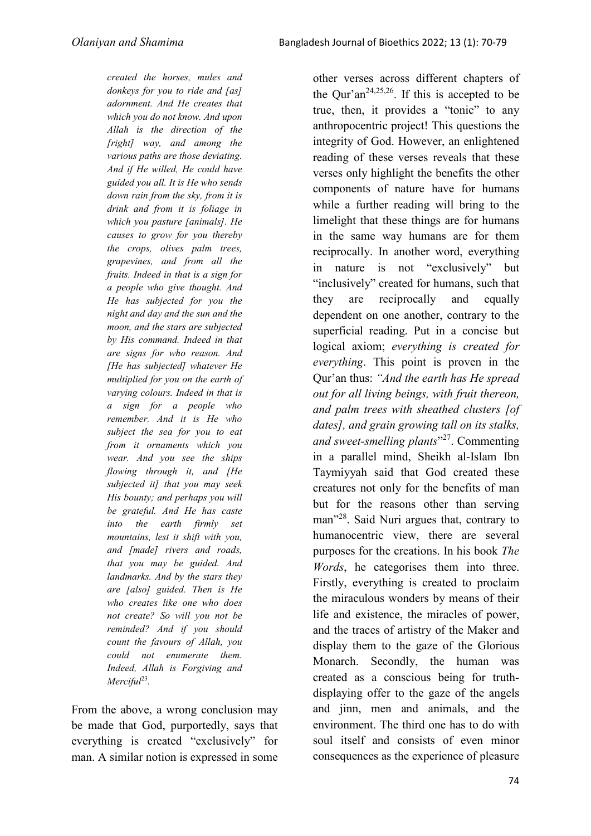*created the horses, mules and donkeys for you to ride and [as] adornment. And He creates that which you do not know. And upon Allah is the direction of the [right] way, and among the various paths are those deviating. And if He willed, He could have guided you all. It is He who sends down rain from the sky, from it is drink and from it is foliage in which you pasture [animals]. He causes to grow for you thereby the crops, olives palm trees, grapevines, and from all the fruits. Indeed in that is a sign for a people who give thought. And He has subjected for you the night and day and the sun and the moon, and the stars are subjected by His command. Indeed in that are signs for who reason. And [He has subjected] whatever He multiplied for you on the earth of varying colours. Indeed in that is a sign for a people who remember. And it is He who subject the sea for you to eat from it ornaments which you wear. And you see the ships flowing through it, and [He subjected it] that you may seek His bounty; and perhaps you will be grateful. And He has caste into the earth firmly set mountains, lest it shift with you, and [made] rivers and roads, that you may be guided. And landmarks. And by the stars they are [also] guided. Then is He who creates like one who does not create? So will you not be reminded? And if you should count the favours of Allah, you could not enumerate them. Indeed, Allah is Forgiving and Merciful*<sup>23</sup> *.* 

From the above, a wrong conclusion may be made that God, purportedly, says that everything is created "exclusively" for man. A similar notion is expressed in some

other verses across different chapters of the Qur'an<sup>24,25,26</sup>. If this is accepted to be true, then, it provides a "tonic" to any anthropocentric project! This questions the integrity of God. However, an enlightened reading of these verses reveals that these verses only highlight the benefits the other components of nature have for humans while a further reading will bring to the limelight that these things are for humans in the same way humans are for them reciprocally. In another word, everything in nature is not "exclusively" but "inclusively" created for humans, such that they are reciprocally and equally dependent on one another, contrary to the superficial reading. Put in a concise but logical axiom; *everything is created for everything*. This point is proven in the Qur'an thus: *"And the earth has He spread out for all living beings, with fruit thereon, and palm trees with sheathed clusters [of dates], and grain growing tall on its stalks, and sweet-smelling plants*" <sup>27</sup>. Commenting in a parallel mind, Sheikh al-Islam Ibn Taymiyyah said that God created these creatures not only for the benefits of man but for the reasons other than serving man<sup>"28</sup>. Said Nuri argues that, contrary to humanocentric view, there are several purposes for the creations. In his book *The Words*, he categorises them into three. Firstly, everything is created to proclaim the miraculous wonders by means of their life and existence, the miracles of power, and the traces of artistry of the Maker and display them to the gaze of the Glorious Monarch. Secondly, the human was created as a conscious being for truthdisplaying offer to the gaze of the angels and jinn, men and animals, and the environment. The third one has to do with soul itself and consists of even minor consequences as the experience of pleasure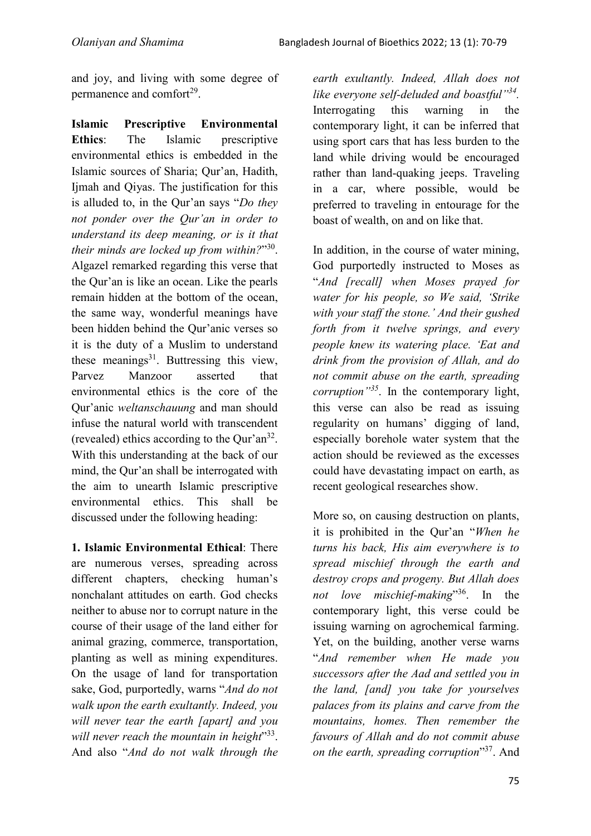and joy, and living with some degree of permanence and comfort<sup>29</sup>.

**Islamic Prescriptive Environmental Ethics**: The Islamic prescriptive environmental ethics is embedded in the Islamic sources of Sharia; Qur'an, Hadith, Ijmah and Qiyas. The justification for this is alluded to, in the Qur'an says "*Do they not ponder over the Qur'an in order to understand its deep meaning, or is it that their minds are locked up from within?*" 30 . Algazel remarked regarding this verse that the Qur'an is like an ocean. Like the pearls remain hidden at the bottom of the ocean, the same way, wonderful meanings have been hidden behind the Qur'anic verses so it is the duty of a Muslim to understand these meanings $31$ . Buttressing this view, Parvez Manzoor asserted that environmental ethics is the core of the Qur'anic *weltanschauung* and man should infuse the natural world with transcendent (revealed) ethics according to the Qur'an<sup>32</sup>. With this understanding at the back of our mind, the Qur'an shall be interrogated with the aim to unearth Islamic prescriptive environmental ethics. This shall be discussed under the following heading:

**1. Islamic Environmental Ethical**: There are numerous verses, spreading across different chapters, checking human's nonchalant attitudes on earth. God checks neither to abuse nor to corrupt nature in the course of their usage of the land either for animal grazing, commerce, transportation, planting as well as mining expenditures. On the usage of land for transportation sake, God, purportedly, warns "*And do not walk upon the earth exultantly. Indeed, you will never tear the earth [apart] and you*  will never reach the mountain in height<sup>333</sup>. And also "*And do not walk through the* 

*earth exultantly. Indeed, Allah does not like everyone self-deluded and boastful"<sup>34</sup> .* Interrogating this warning in the contemporary light, it can be inferred that using sport cars that has less burden to the land while driving would be encouraged rather than land-quaking jeeps. Traveling in a car, where possible, would be preferred to traveling in entourage for the boast of wealth, on and on like that.

In addition, in the course of water mining, God purportedly instructed to Moses as "*And [recall] when Moses prayed for water for his people, so We said, 'Strike with your staff the stone.' And their gushed forth from it twelve springs, and every people knew its watering place. 'Eat and drink from the provision of Allah, and do not commit abuse on the earth, spreading corruption"<sup>35</sup>*. In the contemporary light, this verse can also be read as issuing regularity on humans' digging of land, especially borehole water system that the action should be reviewed as the excesses could have devastating impact on earth, as recent geological researches show.

More so, on causing destruction on plants, it is prohibited in the Qur'an "*When he turns his back, His aim everywhere is to spread mischief through the earth and destroy crops and progeny. But Allah does not love mischief-making*" <sup>36</sup>. In the contemporary light, this verse could be issuing warning on agrochemical farming. Yet, on the building, another verse warns "*And remember when He made you successors after the Aad and settled you in the land, [and] you take for yourselves palaces from its plains and carve from the mountains, homes. Then remember the favours of Allah and do not commit abuse on the earth, spreading corruption*" <sup>37</sup>. And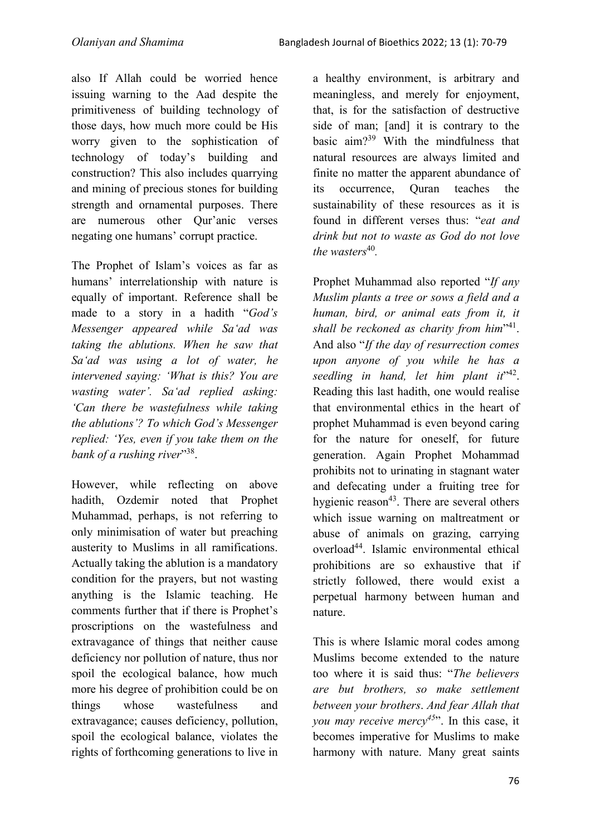also If Allah could be worried hence issuing warning to the Aad despite the primitiveness of building technology of those days, how much more could be His worry given to the sophistication of technology of today's building and construction? This also includes quarrying and mining of precious stones for building strength and ornamental purposes. There are numerous other Qur'anic verses negating one humans' corrupt practice.

The Prophet of Islam's voices as far as humans' interrelationship with nature is equally of important. Reference shall be made to a story in a hadith "*God's Messenger appeared while Sa'ad was taking the ablutions. When he saw that Sa'ad was using a lot of water, he intervened saying: 'What is this? You are wasting water'. Sa'ad replied asking: 'Can there be wastefulness while taking the ablutions'? To which God's Messenger replied: 'Yes, even if you take them on the*  bank of a rushing river"<sup>38</sup>.

However, while reflecting on above hadith, Ozdemir noted that Prophet Muhammad, perhaps, is not referring to only minimisation of water but preaching austerity to Muslims in all ramifications. Actually taking the ablution is a mandatory condition for the prayers, but not wasting anything is the Islamic teaching. He comments further that if there is Prophet's proscriptions on the wastefulness and extravagance of things that neither cause deficiency nor pollution of nature, thus nor spoil the ecological balance, how much more his degree of prohibition could be on things whose wastefulness and extravagance; causes deficiency, pollution, spoil the ecological balance, violates the rights of forthcoming generations to live in

a healthy environment, is arbitrary and meaningless, and merely for enjoyment, that, is for the satisfaction of destructive side of man; [and] it is contrary to the basic aim?<sup>39</sup> With the mindfulness that natural resources are always limited and finite no matter the apparent abundance of its occurrence, Quran teaches the sustainability of these resources as it is found in different verses thus: "*eat and drink but not to waste as God do not love*  the wasters<sup>40</sup>.

Prophet Muhammad also reported "*If any Muslim plants a tree or sows a field and a human, bird, or animal eats from it, it*  shall be reckoned as charity from him<sup>141</sup>. And also "*If the day of resurrection comes upon anyone of you while he has a*  seedling in hand, let him plant it<sup>142</sup>. Reading this last hadith, one would realise that environmental ethics in the heart of prophet Muhammad is even beyond caring for the nature for oneself, for future generation. Again Prophet Mohammad prohibits not to urinating in stagnant water and defecating under a fruiting tree for hygienic reason<sup>43</sup>. There are several others which issue warning on maltreatment or abuse of animals on grazing, carrying overload<sup>44</sup>. Islamic environmental ethical prohibitions are so exhaustive that if strictly followed, there would exist a perpetual harmony between human and nature.

This is where Islamic moral codes among Muslims become extended to the nature too where it is said thus: "*The believers are but brothers, so make settlement between your brothers*. *And fear Allah that you may receive mercy<sup>45</sup>*". In this case, it becomes imperative for Muslims to make harmony with nature. Many great saints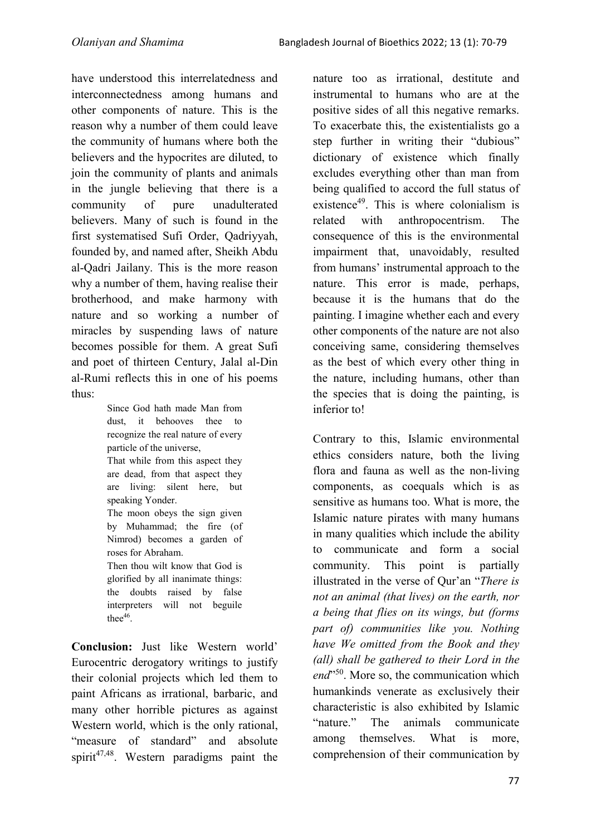have understood this interrelatedness and interconnectedness among humans and other components of nature. This is the reason why a number of them could leave the community of humans where both the believers and the hypocrites are diluted, to join the community of plants and animals in the jungle believing that there is a community of pure unadulterated believers. Many of such is found in the first systematised Sufi Order, Qadriyyah, founded by, and named after, Sheikh Abdu al-Qadri Jailany. This is the more reason why a number of them, having realise their brotherhood, and make harmony with nature and so working a number of miracles by suspending laws of nature becomes possible for them. A great Sufi and poet of thirteen Century, Jalal al-Din al-Rumi reflects this in one of his poems thus:

> Since God hath made Man from dust, it behooves thee to recognize the real nature of every particle of the universe, That while from this aspect they are dead, from that aspect they are living: silent here, but speaking Yonder. The moon obeys the sign given by Muhammad; the fire (of Nimrod) becomes a garden of roses for Abraham. Then thou wilt know that God is glorified by all inanimate things: the doubts raised by false interpreters will not beguile thee $46$ .

**Conclusion:** Just like Western world' Eurocentric derogatory writings to justify their colonial projects which led them to paint Africans as irrational, barbaric, and many other horrible pictures as against Western world, which is the only rational, "measure of standard" and absolute spirit<sup>47,48</sup>. Western paradigms paint the

nature too as irrational, destitute and instrumental to humans who are at the positive sides of all this negative remarks. To exacerbate this, the existentialists go a step further in writing their "dubious" dictionary of existence which finally excludes everything other than man from being qualified to accord the full status of existence<sup>49</sup>. This is where colonialism is related with anthropocentrism. The consequence of this is the environmental impairment that, unavoidably, resulted from humans' instrumental approach to the nature. This error is made, perhaps, because it is the humans that do the painting. I imagine whether each and every other components of the nature are not also conceiving same, considering themselves as the best of which every other thing in the nature, including humans, other than the species that is doing the painting, is inferior to!

Contrary to this, Islamic environmental ethics considers nature, both the living flora and fauna as well as the non-living components, as coequals which is as sensitive as humans too. What is more, the Islamic nature pirates with many humans in many qualities which include the ability to communicate and form a social community. This point is partially illustrated in the verse of Qur'an "*There is not an animal (that lives) on the earth, nor a being that flies on its wings, but (forms part of) communities like you. Nothing have We omitted from the Book and they (all) shall be gathered to their Lord in the*  end<sup>1,50</sup>. More so, the communication which humankinds venerate as exclusively their characteristic is also exhibited by Islamic "nature." The animals communicate among themselves. What is more, comprehension of their communication by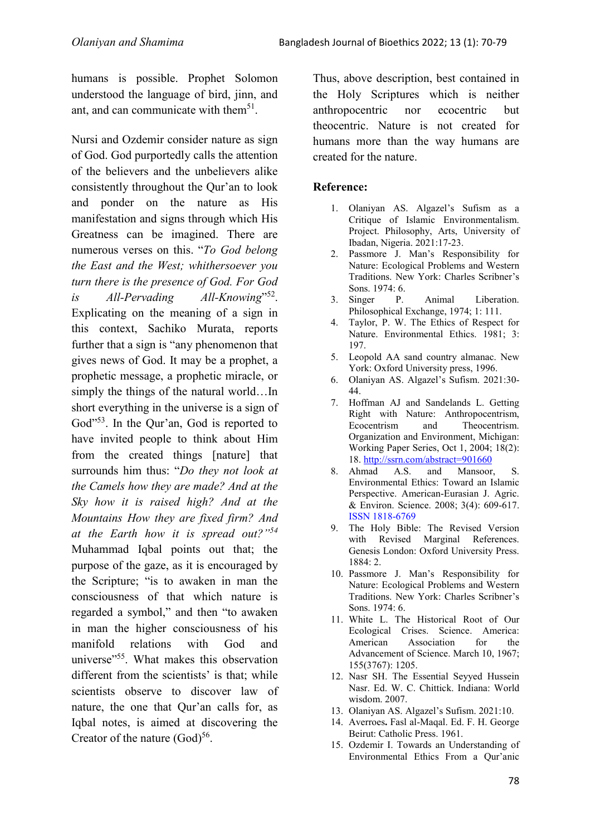humans is possible. Prophet Solomon understood the language of bird, jinn, and ant, and can communicate with them<sup>51</sup>.

Nursi and Ozdemir consider nature as sign of God. God purportedly calls the attention of the believers and the unbelievers alike consistently throughout the Qur'an to look and ponder on the nature as His manifestation and signs through which His Greatness can be imagined. There are numerous verses on this. "*To God belong the East and the West; whithersoever you turn there is the presence of God. For God is All-Pervading* 52 . Explicating on the meaning of a sign in this context, Sachiko Murata, reports further that a sign is "any phenomenon that gives news of God. It may be a prophet, a prophetic message, a prophetic miracle, or simply the things of the natural world…In short everything in the universe is a sign of God"<sup>53</sup>. In the Our'an, God is reported to have invited people to think about Him from the created things [nature] that surrounds him thus: "*Do they not look at the Camels how they are made? And at the Sky how it is raised high? And at the Mountains How they are fixed firm? And at the Earth how it is spread out?"<sup>54</sup>* Muhammad Iqbal points out that; the purpose of the gaze, as it is encouraged by the Scripture; "is to awaken in man the consciousness of that which nature is regarded a symbol," and then "to awaken in man the higher consciousness of his manifold relations with God and universe<sup>"55</sup>. What makes this observation different from the scientists' is that; while scientists observe to discover law of nature, the one that Qur'an calls for, as Iqbal notes, is aimed at discovering the Creator of the nature  $(God)^{56}$ .

Thus, above description, best contained in the Holy Scriptures which is neither anthropocentric nor ecocentric but theocentric. Nature is not created for humans more than the way humans are created for the nature.

## **Reference:**

- 1. Olaniyan AS. Algazel's Sufism as a Critique of Islamic Environmentalism. Project. Philosophy, Arts, University of Ibadan, Nigeria. 2021:17-23.
- 2. Passmore J. Man's Responsibility for Nature: Ecological Problems and Western Traditions. New York: Charles Scribner's Sons. 1974: 6.
- 3. Singer P. Animal Liberation. Philosophical Exchange, 1974; 1: 111.
- 4. Taylor, P. W. The Ethics of Respect for Nature. Environmental Ethics. 1981; 3: 197.
- 5. Leopold AA sand country almanac. New York: Oxford University press, 1996.
- 6. Olaniyan AS. Algazel's Sufism. 2021:30- 44.
- 7. Hoffman AJ and Sandelands L. Getting Right with Nature: Anthropocentrism, Ecocentrism and Theocentrism. Organization and Environment, Michigan: Working Paper Series, Oct 1, 2004; 18(2): 18. http://ssrn.com/abstract=901660
- 8. Ahmad A.S. and Mansoor, S. Environmental Ethics: Toward an Islamic Perspective. American-Eurasian J. Agric. & Environ. Science. 2008; 3(4): 609-617. ISSN 1818-6769
- 9. The Holy Bible: The Revised Version with Revised Marginal References. Genesis London: Oxford University Press. 1884: 2.
- 10. Passmore J. Man's Responsibility for Nature: Ecological Problems and Western Traditions. New York: Charles Scribner's Sons. 1974: 6.
- 11. White L. The Historical Root of Our Ecological Crises. Science. America: American Association for the Advancement of Science. March 10, 1967; 155(3767): 1205.
- 12. Nasr SH. The Essential Seyyed Hussein Nasr. Ed. W. C. Chittick. Indiana: World wisdom. 2007.
- 13. Olaniyan AS. Algazel's Sufism. 2021:10.
- 14. Averroes**.** Fasl al-Maqal. Ed. F. H. George Beirut: Catholic Press. 1961.
- 15. Ozdemir I. Towards an Understanding of Environmental Ethics From a Qur'anic